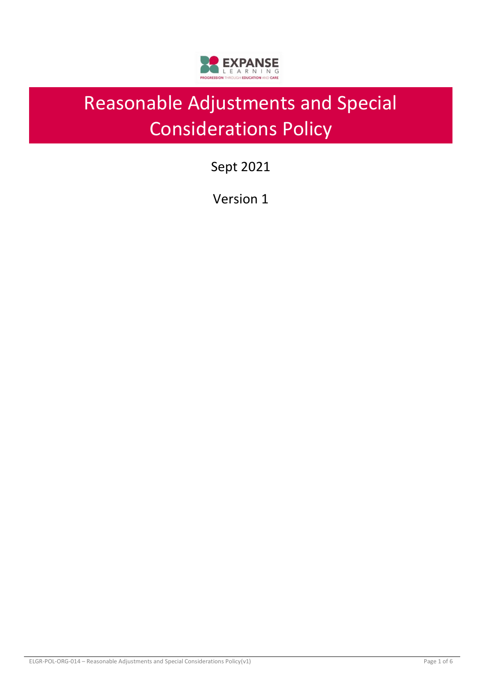

# Reasonable Adjustments and Special Considerations Policy

Sept 2021

Version 1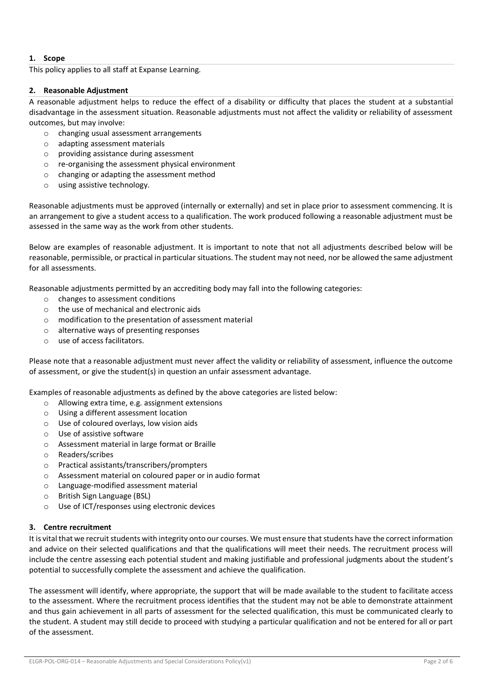# **1. Scope**

This policy applies to all staff at Expanse Learning.

## **2. Reasonable Adjustment**

A reasonable adjustment helps to reduce the effect of a disability or difficulty that places the student at a substantial disadvantage in the assessment situation. Reasonable adjustments must not affect the validity or reliability of assessment outcomes, but may involve:

- o changing usual assessment arrangements
- o adapting assessment materials
- o providing assistance during assessment
- o re-organising the assessment physical environment
- o changing or adapting the assessment method
- o using assistive technology.

Reasonable adjustments must be approved (internally or externally) and set in place prior to assessment commencing. It is an arrangement to give a student access to a qualification. The work produced following a reasonable adjustment must be assessed in the same way as the work from other students.

Below are examples of reasonable adjustment. It is important to note that not all adjustments described below will be reasonable, permissible, or practical in particular situations. The student may not need, nor be allowed the same adjustment for all assessments.

Reasonable adjustments permitted by an accrediting body may fall into the following categories:

- o changes to assessment conditions
- o the use of mechanical and electronic aids
- o modification to the presentation of assessment material
- o alternative ways of presenting responses
- o use of access facilitators.

Please note that a reasonable adjustment must never affect the validity or reliability of assessment, influence the outcome of assessment, or give the student(s) in question an unfair assessment advantage.

Examples of reasonable adjustments as defined by the above categories are listed below:

- o Allowing extra time, e.g. assignment extensions
- o Using a different assessment location
- o Use of coloured overlays, low vision aids
- o Use of assistive software
- o Assessment material in large format or Braille
- o Readers/scribes
- o Practical assistants/transcribers/prompters
- o Assessment material on coloured paper or in audio format
- o Language-modified assessment material
- o British Sign Language (BSL)
- o Use of ICT/responses using electronic devices

## **3. Centre recruitment**

It is vital that we recruit students with integrity onto our courses. We must ensure that students have the correct information and advice on their selected qualifications and that the qualifications will meet their needs. The recruitment process will include the centre assessing each potential student and making justifiable and professional judgments about the student's potential to successfully complete the assessment and achieve the qualification.

The assessment will identify, where appropriate, the support that will be made available to the student to facilitate access to the assessment. Where the recruitment process identifies that the student may not be able to demonstrate attainment and thus gain achievement in all parts of assessment for the selected qualification, this must be communicated clearly to the student. A student may still decide to proceed with studying a particular qualification and not be entered for all or part of the assessment.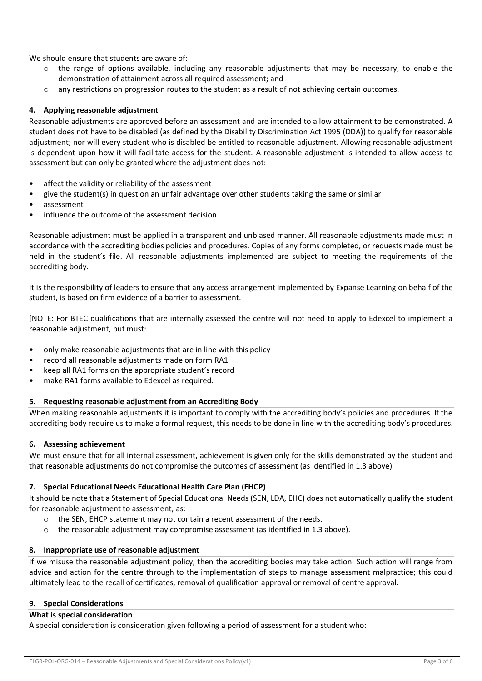We should ensure that students are aware of:

- $\circ$  the range of options available, including any reasonable adjustments that may be necessary, to enable the demonstration of attainment across all required assessment; and
- o any restrictions on progression routes to the student as a result of not achieving certain outcomes.

## **4. Applying reasonable adjustment**

Reasonable adjustments are approved before an assessment and are intended to allow attainment to be demonstrated. A student does not have to be disabled (as defined by the Disability Discrimination Act 1995 (DDA)) to qualify for reasonable adjustment; nor will every student who is disabled be entitled to reasonable adjustment. Allowing reasonable adjustment is dependent upon how it will facilitate access for the student. A reasonable adjustment is intended to allow access to assessment but can only be granted where the adjustment does not:

- affect the validity or reliability of the assessment
- give the student(s) in question an unfair advantage over other students taking the same or similar
- assessment
- influence the outcome of the assessment decision.

Reasonable adjustment must be applied in a transparent and unbiased manner. All reasonable adjustments made must in accordance with the accrediting bodies policies and procedures. Copies of any forms completed, or requests made must be held in the student's file. All reasonable adjustments implemented are subject to meeting the requirements of the accrediting body.

It is the responsibility of leaders to ensure that any access arrangement implemented by Expanse Learning on behalf of the student, is based on firm evidence of a barrier to assessment.

[NOTE: For BTEC qualifications that are internally assessed the centre will not need to apply to Edexcel to implement a reasonable adjustment, but must:

- only make reasonable adjustments that are in line with this policy
- record all reasonable adjustments made on form RA1
- keep all RA1 forms on the appropriate student's record
- make RA1 forms available to Edexcel as required.

## **5. Requesting reasonable adjustment from an Accrediting Body**

When making reasonable adjustments it is important to comply with the accrediting body's policies and procedures. If the accrediting body require us to make a formal request, this needs to be done in line with the accrediting body's procedures.

#### **6. Assessing achievement**

We must ensure that for all internal assessment, achievement is given only for the skills demonstrated by the student and that reasonable adjustments do not compromise the outcomes of assessment (as identified in 1.3 above).

#### **7. Special Educational Needs Educational Health Care Plan (EHCP)**

It should be note that a Statement of Special Educational Needs (SEN, LDA, EHC) does not automatically qualify the student for reasonable adjustment to assessment, as:

- o the SEN, EHCP statement may not contain a recent assessment of the needs.
- o the reasonable adjustment may compromise assessment (as identified in 1.3 above).

#### **8. Inappropriate use of reasonable adjustment**

If we misuse the reasonable adjustment policy, then the accrediting bodies may take action. Such action will range from advice and action for the centre through to the implementation of steps to manage assessment malpractice; this could ultimately lead to the recall of certificates, removal of qualification approval or removal of centre approval.

#### **9. Special Considerations**

#### **What is special consideration**

A special consideration is consideration given following a period of assessment for a student who: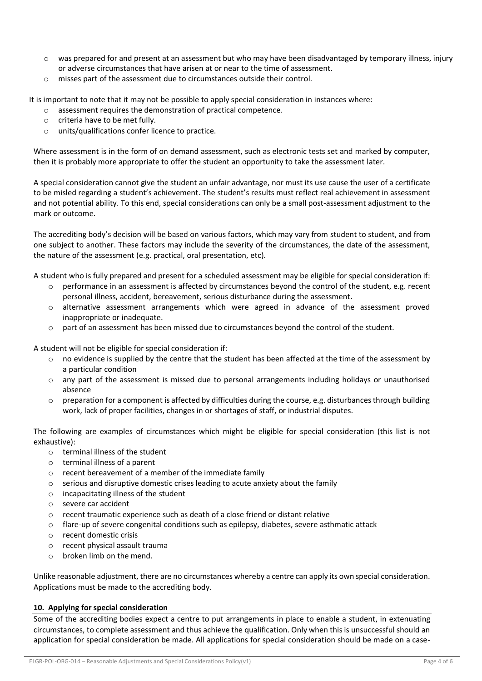- $\circ$  was prepared for and present at an assessment but who may have been disadvantaged by temporary illness, injury or adverse circumstances that have arisen at or near to the time of assessment.
- o misses part of the assessment due to circumstances outside their control.

It is important to note that it may not be possible to apply special consideration in instances where:

- o assessment requires the demonstration of practical competence.
- o criteria have to be met fully.
- o units/qualifications confer licence to practice.

Where assessment is in the form of on demand assessment, such as electronic tests set and marked by computer, then it is probably more appropriate to offer the student an opportunity to take the assessment later.

A special consideration cannot give the student an unfair advantage, nor must its use cause the user of a certificate to be misled regarding a student's achievement. The student's results must reflect real achievement in assessment and not potential ability. To this end, special considerations can only be a small post-assessment adjustment to the mark or outcome.

The accrediting body's decision will be based on various factors, which may vary from student to student, and from one subject to another. These factors may include the severity of the circumstances, the date of the assessment, the nature of the assessment (e.g. practical, oral presentation, etc).

A student who is fully prepared and present for a scheduled assessment may be eligible for special consideration if:

- $\circ$  performance in an assessment is affected by circumstances beyond the control of the student, e.g. recent personal illness, accident, bereavement, serious disturbance during the assessment.
- o alternative assessment arrangements which were agreed in advance of the assessment proved inappropriate or inadequate.
- o part of an assessment has been missed due to circumstances beyond the control of the student.

A student will not be eligible for special consideration if:

- $\circ$  no evidence is supplied by the centre that the student has been affected at the time of the assessment by a particular condition
- o any part of the assessment is missed due to personal arrangements including holidays or unauthorised absence
- $\circ$  preparation for a component is affected by difficulties during the course, e.g. disturbances through building work, lack of proper facilities, changes in or shortages of staff, or industrial disputes.

The following are examples of circumstances which might be eligible for special consideration (this list is not exhaustive):

- $\circ$  terminal illness of the student
- o terminal illness of a parent
- o recent bereavement of a member of the immediate family
- $\circ$  serious and disruptive domestic crises leading to acute anxiety about the family
- o incapacitating illness of the student
- o severe car accident
- $\circ$  recent traumatic experience such as death of a close friend or distant relative
- o flare-up of severe congenital conditions such as epilepsy, diabetes, severe asthmatic attack
- o recent domestic crisis
- o recent physical assault trauma
- o broken limb on the mend.

Unlike reasonable adjustment, there are no circumstances whereby a centre can apply its own special consideration. Applications must be made to the accrediting body.

## **10. Applying for special consideration**

Some of the accrediting bodies expect a centre to put arrangements in place to enable a student, in extenuating circumstances, to complete assessment and thus achieve the qualification. Only when this is unsuccessful should an application for special consideration be made. All applications for special consideration should be made on a case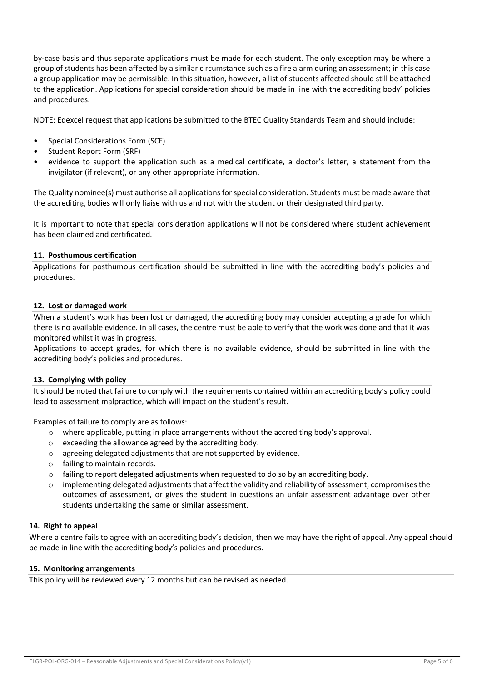by-case basis and thus separate applications must be made for each student. The only exception may be where a group of students has been affected by a similar circumstance such as a fire alarm during an assessment; in this case a group application may be permissible. In this situation, however, a list of students affected should still be attached to the application. Applications for special consideration should be made in line with the accrediting body' policies and procedures.

NOTE: Edexcel request that applications be submitted to the BTEC Quality Standards Team and should include:

- Special Considerations Form (SCF)
- Student Report Form (SRF)
- evidence to support the application such as a medical certificate, a doctor's letter, a statement from the invigilator (if relevant), or any other appropriate information.

The Quality nominee(s) must authorise all applications for special consideration. Students must be made aware that the accrediting bodies will only liaise with us and not with the student or their designated third party.

It is important to note that special consideration applications will not be considered where student achievement has been claimed and certificated.

## **11. Posthumous certification**

Applications for posthumous certification should be submitted in line with the accrediting body's policies and procedures.

#### **12. Lost or damaged work**

When a student's work has been lost or damaged, the accrediting body may consider accepting a grade for which there is no available evidence. In all cases, the centre must be able to verify that the work was done and that it was monitored whilst it was in progress.

Applications to accept grades, for which there is no available evidence, should be submitted in line with the accrediting body's policies and procedures.

#### **13. Complying with policy**

It should be noted that failure to comply with the requirements contained within an accrediting body's policy could lead to assessment malpractice, which will impact on the student's result.

Examples of failure to comply are as follows:

- $\circ$  where applicable, putting in place arrangements without the accrediting body's approval.
- o exceeding the allowance agreed by the accrediting body.
- o agreeing delegated adjustments that are not supported by evidence.
- o failing to maintain records.
- $\circ$  failing to report delegated adjustments when requested to do so by an accrediting body.
- $\circ$  implementing delegated adjustments that affect the validity and reliability of assessment, compromises the outcomes of assessment, or gives the student in questions an unfair assessment advantage over other students undertaking the same or similar assessment.

#### **14. Right to appeal**

Where a centre fails to agree with an accrediting body's decision, then we may have the right of appeal. Any appeal should be made in line with the accrediting body's policies and procedures.

#### **15. Monitoring arrangements**

This policy will be reviewed every 12 months but can be revised as needed.